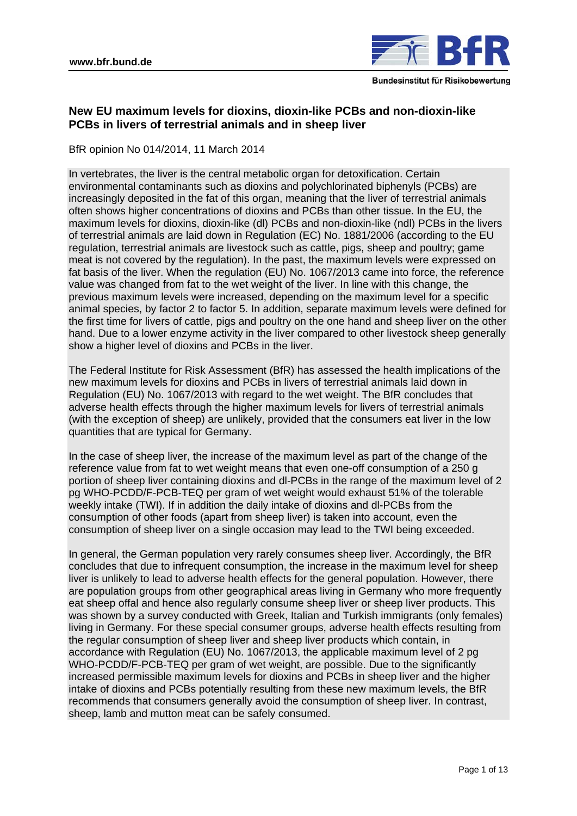

# **New EU maximum levels for dioxins, dioxin-like PCBs and non-dioxin-like PCBs in livers of terrestrial animals and in sheep liver**

BfR opinion No 014/2014, 11 March 2014

In vertebrates, the liver is the central metabolic organ for detoxification. Certain environmental contaminants such as dioxins and polychlorinated biphenyls (PCBs) are increasingly deposited in the fat of this organ, meaning that the liver of terrestrial animals often shows higher concentrations of dioxins and PCBs than other tissue. In the EU, the maximum levels for dioxins, dioxin-like (dl) PCBs and non-dioxin-like (ndl) PCBs in the livers of terrestrial animals are laid down in Regulation (EC) No. 1881/2006 (according to the EU regulation, terrestrial animals are livestock such as cattle, pigs, sheep and poultry; game meat is not covered by the regulation). In the past, the maximum levels were expressed on fat basis of the liver. When the regulation (EU) No. 1067/2013 came into force, the reference value was changed from fat to the wet weight of the liver. In line with this change, the previous maximum levels were increased, depending on the maximum level for a specific animal species, by factor 2 to factor 5. In addition, separate maximum levels were defined for the first time for livers of cattle, pigs and poultry on the one hand and sheep liver on the other hand. Due to a lower enzyme activity in the liver compared to other livestock sheep generally show a higher level of dioxins and PCBs in the liver.

The Federal Institute for Risk Assessment (BfR) has assessed the health implications of the new maximum levels for dioxins and PCBs in livers of terrestrial animals laid down in Regulation (EU) No. 1067/2013 with regard to the wet weight. The BfR concludes that adverse health effects through the higher maximum levels for livers of terrestrial animals (with the exception of sheep) are unlikely, provided that the consumers eat liver in the low quantities that are typical for Germany.

In the case of sheep liver, the increase of the maximum level as part of the change of the reference value from fat to wet weight means that even one-off consumption of a 250 g portion of sheep liver containing dioxins and dl-PCBs in the range of the maximum level of 2 pg WHO-PCDD/F-PCB-TEQ per gram of wet weight would exhaust 51% of the tolerable weekly intake (TWI). If in addition the daily intake of dioxins and dl-PCBs from the consumption of other foods (apart from sheep liver) is taken into account, even the consumption of sheep liver on a single occasion may lead to the TWI being exceeded.

In general, the German population very rarely consumes sheep liver. Accordingly, the BfR concludes that due to infrequent consumption, the increase in the maximum level for sheep liver is unlikely to lead to adverse health effects for the general population. However, there are population groups from other geographical areas living in Germany who more frequently eat sheep offal and hence also regularly consume sheep liver or sheep liver products. This was shown by a survey conducted with Greek, Italian and Turkish immigrants (only females) living in Germany. For these special consumer groups, adverse health effects resulting from the regular consumption of sheep liver and sheep liver products which contain, in accordance with Regulation (EU) No. 1067/2013, the applicable maximum level of 2 pg WHO-PCDD/F-PCB-TEQ per gram of wet weight, are possible. Due to the significantly increased permissible maximum levels for dioxins and PCBs in sheep liver and the higher intake of dioxins and PCBs potentially resulting from these new maximum levels, the BfR recommends that consumers generally avoid the consumption of sheep liver. In contrast, sheep, lamb and mutton meat can be safely consumed.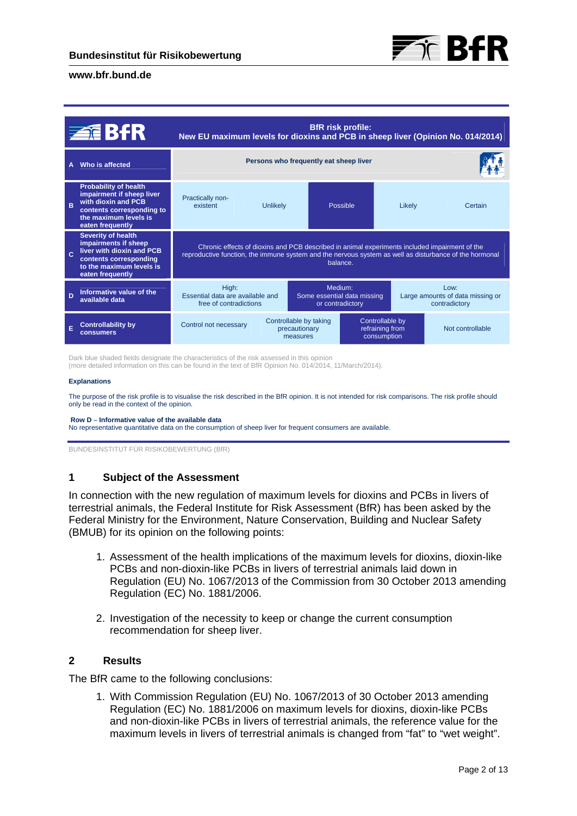

|              | <b>ZEBFR</b>                                                                                                                                               | <b>BfR</b> risk profile:<br>New EU maximum levels for dioxins and PCB in sheep liver (Opinion No. 014/2014)                                                                                                         |                 |                                                                                                          |          |        |                  |
|--------------|------------------------------------------------------------------------------------------------------------------------------------------------------------|---------------------------------------------------------------------------------------------------------------------------------------------------------------------------------------------------------------------|-----------------|----------------------------------------------------------------------------------------------------------|----------|--------|------------------|
| A            | Who is affected                                                                                                                                            | Persons who frequently eat sheep liver                                                                                                                                                                              |                 |                                                                                                          |          |        |                  |
| B            | <b>Probability of health</b><br>impairment if sheep liver<br>with dioxin and PCB<br>contents corresponding to<br>the maximum levels is<br>eaten frequently | Practically non-<br>existent                                                                                                                                                                                        | <b>Unlikely</b> |                                                                                                          | Possible | Likely | Certain          |
|              | <b>Severity of health</b><br>impairments if sheep<br>liver with dioxin and PCB<br>contents corresponding<br>to the maximum levels is<br>eaten frequently   | Chronic effects of dioxins and PCB described in animal experiments included impairment of the<br>reproductive function, the immune system and the nervous system as well as disturbance of the hormonal<br>balance. |                 |                                                                                                          |          |        |                  |
| $\mathbf{D}$ | Informative value of the<br>available data                                                                                                                 | Medium:<br>High:<br>Essential data are available and<br>Some essential data missing<br>or contradictory<br>free of contradictions                                                                                   |                 | Low:<br>Large amounts of data missing or<br>contradictory                                                |          |        |                  |
| E            | <b>Controllability by</b><br>consumers                                                                                                                     | Control not necessary                                                                                                                                                                                               |                 | Controllable by<br>Controllable by taking<br>refraining from<br>precautionary<br>consumption<br>measures |          |        | Not controllable |

Dark blue shaded fields designate the characteristics of the risk assessed in this opinion

(more detailed information on this can be found in the text of BfR Opinion No. 014/2014, 11/March/2014).

#### **Explanations**

The purpose of the risk profile is to visualise the risk described in the BfR opinion. It is not intended for risk comparisons. The risk profile should only be read in the context of the opinion.

#### **Row D** – **Informative value of the available data**

No representative quantitative data on the consumption of sheep liver for frequent consumers are available.

BUNDESINSTITUT FÜR RISIKOBEWERTUNG (BfR)

## **1 Subject of the Assessment**

In connection with the new regulation of maximum levels for dioxins and PCBs in livers of terrestrial animals, the Federal Institute for Risk Assessment (BfR) has been asked by the Federal Ministry for the Environment, Nature Conservation, Building and Nuclear Safety (BMUB) for its opinion on the following points:

- 1. Assessment of the health implications of the maximum levels for dioxins, dioxin-like PCBs and non-dioxin-like PCBs in livers of terrestrial animals laid down in Regulation (EU) No. 1067/2013 of the Commission from 30 October 2013 amending Regulation (EC) No. 1881/2006.
- 2. Investigation of the necessity to keep or change the current consumption recommendation for sheep liver.

## **2 Results**

The BfR came to the following conclusions:

1. With Commission Regulation (EU) No. 1067/2013 of 30 October 2013 amending Regulation (EC) No. 1881/2006 on maximum levels for dioxins, dioxin-like PCBs and non-dioxin-like PCBs in livers of terrestrial animals, the reference value for the maximum levels in livers of terrestrial animals is changed from "fat" to "wet weight".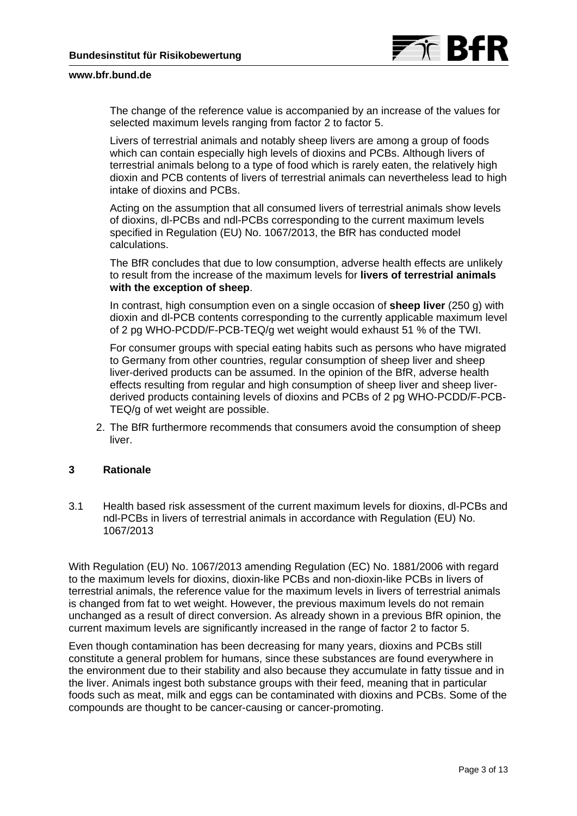

The change of the reference value is accompanied by an increase of the values for selected maximum levels ranging from factor 2 to factor 5.

Livers of terrestrial animals and notably sheep livers are among a group of foods which can contain especially high levels of dioxins and PCBs. Although livers of terrestrial animals belong to a type of food which is rarely eaten, the relatively high dioxin and PCB contents of livers of terrestrial animals can nevertheless lead to high intake of dioxins and PCBs.

Acting on the assumption that all consumed livers of terrestrial animals show levels of dioxins, dl-PCBs and ndl-PCBs corresponding to the current maximum levels specified in Regulation (EU) No. 1067/2013, the BfR has conducted model calculations.

The BfR concludes that due to low consumption, adverse health effects are unlikely to result from the increase of the maximum levels for **livers of terrestrial animals with the exception of sheep**.

In contrast, high consumption even on a single occasion of **sheep liver** (250 g) with dioxin and dl-PCB contents corresponding to the currently applicable maximum level of 2 pg WHO-PCDD/F-PCB-TEQ/g wet weight would exhaust 51 % of the TWI.

For consumer groups with special eating habits such as persons who have migrated to Germany from other countries, regular consumption of sheep liver and sheep liver-derived products can be assumed. In the opinion of the BfR, adverse health effects resulting from regular and high consumption of sheep liver and sheep liverderived products containing levels of dioxins and PCBs of 2 pg WHO-PCDD/F-PCB-TEQ/g of wet weight are possible.

2. The BfR furthermore recommends that consumers avoid the consumption of sheep liver.

## **3 Rationale**

3.1 Health based risk assessment of the current maximum levels for dioxins, dl-PCBs and ndl-PCBs in livers of terrestrial animals in accordance with Regulation (EU) No. 1067/2013

With Regulation (EU) No. 1067/2013 amending Regulation (EC) No. 1881/2006 with regard to the maximum levels for dioxins, dioxin-like PCBs and non-dioxin-like PCBs in livers of terrestrial animals, the reference value for the maximum levels in livers of terrestrial animals is changed from fat to wet weight. However, the previous maximum levels do not remain unchanged as a result of direct conversion. As already shown in a previous BfR opinion, the current maximum levels are significantly increased in the range of factor 2 to factor 5.

Even though contamination has been decreasing for many years, dioxins and PCBs still constitute a general problem for humans, since these substances are found everywhere in the environment due to their stability and also because they accumulate in fatty tissue and in the liver. Animals ingest both substance groups with their feed, meaning that in particular foods such as meat, milk and eggs can be contaminated with dioxins and PCBs. Some of the compounds are thought to be cancer-causing or cancer-promoting.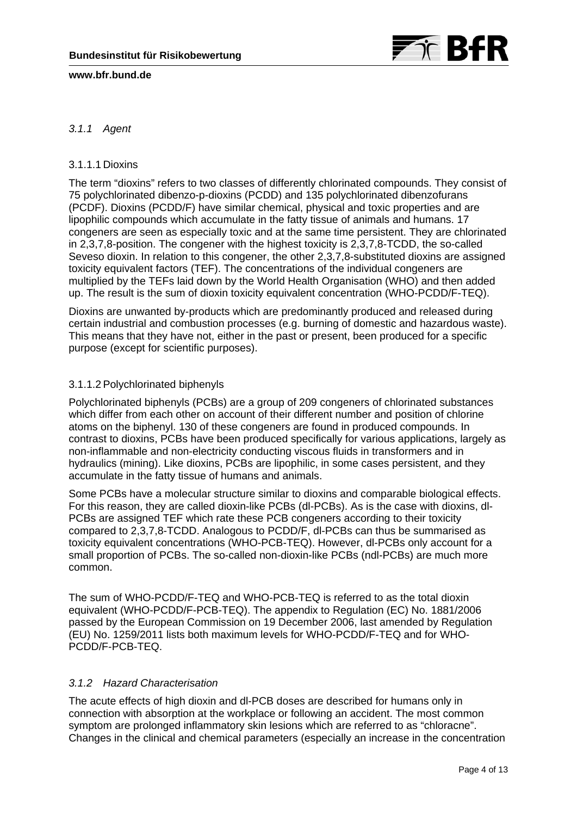

# *3.1.1 Agent*

## 3.1.1.1 Dioxins

The term "dioxins" refers to two classes of differently chlorinated compounds. They consist of 75 polychlorinated dibenzo-p-dioxins (PCDD) and 135 polychlorinated dibenzofurans (PCDF). Dioxins (PCDD/F) have similar chemical, physical and toxic properties and are lipophilic compounds which accumulate in the fatty tissue of animals and humans. 17 congeners are seen as especially toxic and at the same time persistent. They are chlorinated in 2,3,7,8-position. The congener with the highest toxicity is 2,3,7,8-TCDD, the so-called Seveso dioxin. In relation to this congener, the other 2,3,7,8-substituted dioxins are assigned toxicity equivalent factors (TEF). The concentrations of the individual congeners are multiplied by the TEFs laid down by the World Health Organisation (WHO) and then added up. The result is the sum of dioxin toxicity equivalent concentration (WHO-PCDD/F-TEQ).

Dioxins are unwanted by-products which are predominantly produced and released during certain industrial and combustion processes (e.g. burning of domestic and hazardous waste). This means that they have not, either in the past or present, been produced for a specific purpose (except for scientific purposes).

## 3.1.1.2 Polychlorinated biphenyls

Polychlorinated biphenyls (PCBs) are a group of 209 congeners of chlorinated substances which differ from each other on account of their different number and position of chlorine atoms on the biphenyl. 130 of these congeners are found in produced compounds. In contrast to dioxins, PCBs have been produced specifically for various applications, largely as non-inflammable and non-electricity conducting viscous fluids in transformers and in hydraulics (mining). Like dioxins, PCBs are lipophilic, in some cases persistent, and they accumulate in the fatty tissue of humans and animals.

Some PCBs have a molecular structure similar to dioxins and comparable biological effects. For this reason, they are called dioxin-like PCBs (dl-PCBs). As is the case with dioxins, dl-PCBs are assigned TEF which rate these PCB congeners according to their toxicity compared to 2,3,7,8-TCDD. Analogous to PCDD/F, dl-PCBs can thus be summarised as toxicity equivalent concentrations (WHO-PCB-TEQ). However, dl-PCBs only account for a small proportion of PCBs. The so-called non-dioxin-like PCBs (ndl-PCBs) are much more common.

The sum of WHO-PCDD/F-TEQ and WHO-PCB-TEQ is referred to as the total dioxin equivalent (WHO-PCDD/F-PCB-TEQ). The appendix to Regulation (EC) No. 1881/2006 passed by the European Commission on 19 December 2006, last amended by Regulation (EU) No. 1259/2011 lists both maximum levels for WHO-PCDD/F-TEQ and for WHO-PCDD/F-PCB-TEQ.

## *3.1.2 Hazard Characterisation*

The acute effects of high dioxin and dl-PCB doses are described for humans only in connection with absorption at the workplace or following an accident. The most common symptom are prolonged inflammatory skin lesions which are referred to as "chloracne". Changes in the clinical and chemical parameters (especially an increase in the concentration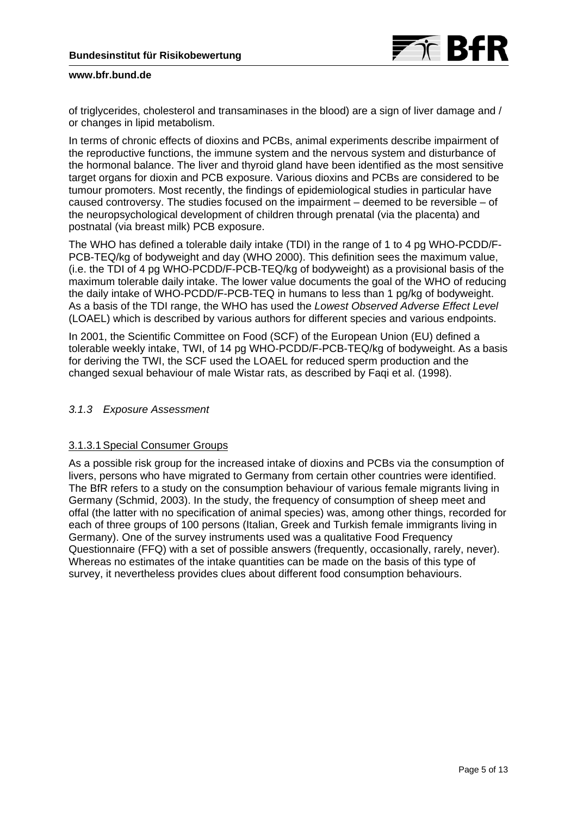

of triglycerides, cholesterol and transaminases in the blood) are a sign of liver damage and / or changes in lipid metabolism.

In terms of chronic effects of dioxins and PCBs, animal experiments describe impairment of the reproductive functions, the immune system and the nervous system and disturbance of the hormonal balance. The liver and thyroid gland have been identified as the most sensitive target organs for dioxin and PCB exposure. Various dioxins and PCBs are considered to be tumour promoters. Most recently, the findings of epidemiological studies in particular have caused controversy. The studies focused on the impairment – deemed to be reversible – of the neuropsychological development of children through prenatal (via the placenta) and postnatal (via breast milk) PCB exposure.

The WHO has defined a tolerable daily intake (TDI) in the range of 1 to 4 pg WHO-PCDD/F-PCB-TEQ/kg of bodyweight and day (WHO 2000). This definition sees the maximum value, (i.e. the TDI of 4 pg WHO-PCDD/F-PCB-TEQ/kg of bodyweight) as a provisional basis of the maximum tolerable daily intake. The lower value documents the goal of the WHO of reducing the daily intake of WHO-PCDD/F-PCB-TEQ in humans to less than 1 pg/kg of bodyweight. As a basis of the TDI range, the WHO has used the *Lowest Observed Adverse Effect Level* (LOAEL) which is described by various authors for different species and various endpoints.

In 2001, the Scientific Committee on Food (SCF) of the European Union (EU) defined a tolerable weekly intake, TWI, of 14 pg WHO-PCDD/F-PCB-TEQ/kg of bodyweight. As a basis for deriving the TWI, the SCF used the LOAEL for reduced sperm production and the changed sexual behaviour of male Wistar rats, as described by Faqi et al. (1998).

## *3.1.3 Exposure Assessment*

## 3.1.3.1 Special Consumer Groups

As a possible risk group for the increased intake of dioxins and PCBs via the consumption of livers, persons who have migrated to Germany from certain other countries were identified. The BfR refers to a study on the consumption behaviour of various female migrants living in Germany (Schmid, 2003). In the study, the frequency of consumption of sheep meet and offal (the latter with no specification of animal species) was, among other things, recorded for each of three groups of 100 persons (Italian, Greek and Turkish female immigrants living in Germany). One of the survey instruments used was a qualitative Food Frequency Questionnaire (FFQ) with a set of possible answers (frequently, occasionally, rarely, never). Whereas no estimates of the intake quantities can be made on the basis of this type of survey, it nevertheless provides clues about different food consumption behaviours.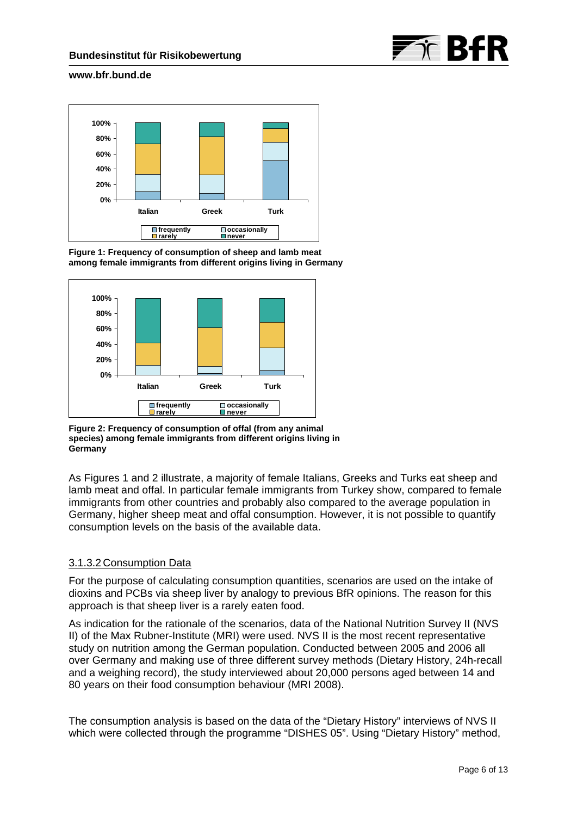



**Figure 1: Frequency of consumption of sheep and lamb meat among female immigrants from different origins living in Germany** 



**Figure 2: Frequency of consumption of offal (from any animal species) among female immigrants from different origins living in Germany** 

As Figures 1 and 2 illustrate, a majority of female Italians, Greeks and Turks eat sheep and lamb meat and offal. In particular female immigrants from Turkey show, compared to female immigrants from other countries and probably also compared to the average population in Germany, higher sheep meat and offal consumption. However, it is not possible to quantify consumption levels on the basis of the available data.

## 3.1.3.2 Consumption Data

For the purpose of calculating consumption quantities, scenarios are used on the intake of dioxins and PCBs via sheep liver by analogy to previous BfR opinions. The reason for this approach is that sheep liver is a rarely eaten food.

As indication for the rationale of the scenarios, data of the National Nutrition Survey II (NVS II) of the Max Rubner-Institute (MRI) were used. NVS II is the most recent representative study on nutrition among the German population. Conducted between 2005 and 2006 all over Germany and making use of three different survey methods (Dietary History, 24h-recall and a weighing record), the study interviewed about 20,000 persons aged between 14 and 80 years on their food consumption behaviour (MRI 2008).

The consumption analysis is based on the data of the "Dietary History" interviews of NVS II which were collected through the programme "DISHES 05". Using "Dietary History" method,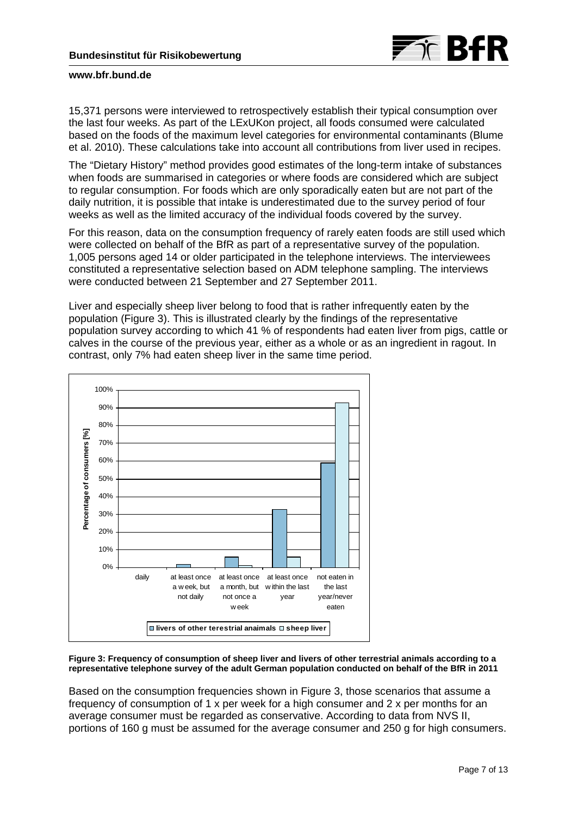

15,371 persons were interviewed to retrospectively establish their typical consumption over the last four weeks. As part of the LExUKon project, all foods consumed were calculated based on the foods of the maximum level categories for environmental contaminants (Blume et al. 2010). These calculations take into account all contributions from liver used in recipes.

The "Dietary History" method provides good estimates of the long-term intake of substances when foods are summarised in categories or where foods are considered which are subject to regular consumption. For foods which are only sporadically eaten but are not part of the daily nutrition, it is possible that intake is underestimated due to the survey period of four weeks as well as the limited accuracy of the individual foods covered by the survey.

For this reason, data on the consumption frequency of rarely eaten foods are still used which were collected on behalf of the BfR as part of a representative survey of the population. 1,005 persons aged 14 or older participated in the telephone interviews. The interviewees constituted a representative selection based on ADM telephone sampling. The interviews were conducted between 21 September and 27 September 2011.

Liver and especially sheep liver belong to food that is rather infrequently eaten by the population (Figure 3). This is illustrated clearly by the findings of the representative population survey according to which 41 % of respondents had eaten liver from pigs, cattle or calves in the course of the previous year, either as a whole or as an ingredient in ragout. In contrast, only 7% had eaten sheep liver in the same time period.



**Figure 3: Frequency of consumption of sheep liver and livers of other terrestrial animals according to a representative telephone survey of the adult German population conducted on behalf of the BfR in 2011** 

Based on the consumption frequencies shown in Figure 3, those scenarios that assume a frequency of consumption of 1 x per week for a high consumer and 2 x per months for an average consumer must be regarded as conservative. According to data from NVS II, portions of 160 g must be assumed for the average consumer and 250 g for high consumers.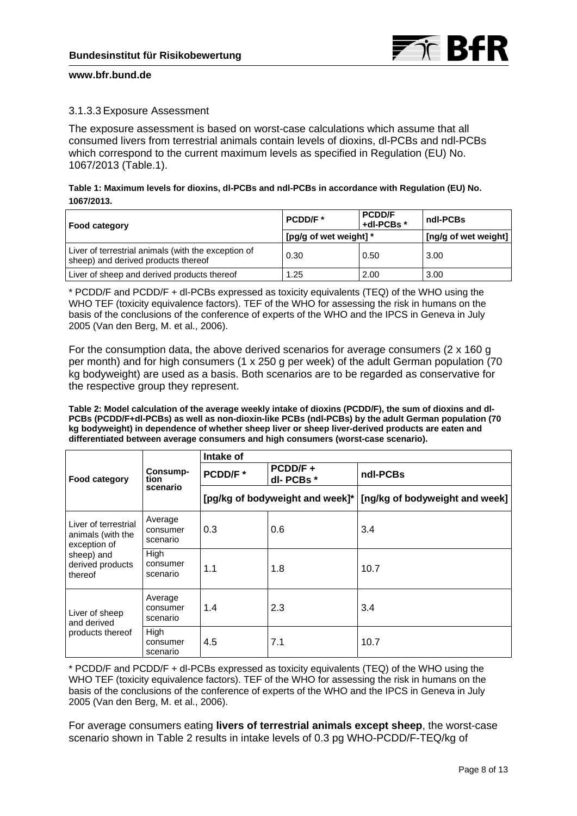

## 3.1.3.3 Exposure Assessment

The exposure assessment is based on worst-case calculations which assume that all consumed livers from terrestrial animals contain levels of dioxins, dl-PCBs and ndl-PCBs which correspond to the current maximum levels as specified in Regulation (EU) No. 1067/2013 (Table.1).

## **Table 1: Maximum levels for dioxins, dl-PCBs and ndl-PCBs in accordance with Regulation (EU) No. 1067/2013.**

| <b>Food category</b>                                                                       | PCDD/F*                | <b>PCDD/F</b><br>+dl-PCBs * | ndl-PCBs |
|--------------------------------------------------------------------------------------------|------------------------|-----------------------------|----------|
|                                                                                            | [pg/g of wet weight] * | [ng/g of wet weight]        |          |
| Liver of terrestrial animals (with the exception of<br>sheep) and derived products thereof | 0.30                   | 0.50                        | 3.00     |
| Liver of sheep and derived products thereof                                                | 1.25                   | 2.00                        | 3.00     |

\* PCDD/F and PCDD/F + dl-PCBs expressed as toxicity equivalents (TEQ) of the WHO using the WHO TEF (toxicity equivalence factors). TEF of the WHO for assessing the risk in humans on the basis of the conclusions of the conference of experts of the WHO and the IPCS in Geneva in July 2005 (Van den Berg, M. et al., 2006).

For the consumption data, the above derived scenarios for average consumers (2 x 160 g per month) and for high consumers (1 x 250 g per week) of the adult German population (70 kg bodyweight) are used as a basis. Both scenarios are to be regarded as conservative for the respective group they represent.

**Table 2: Model calculation of the average weekly intake of dioxins (PCDD/F), the sum of dioxins and dl-PCBs (PCDD/F+dl-PCBs) as well as non-dioxin-like PCBs (ndl-PCBs) by the adult German population (70 kg bodyweight) in dependence of whether sheep liver or sheep liver-derived products are eaten and differentiated between average consumers and high consumers (worst-case scenario).** 

|                                                           | Consump-<br>tion<br>scenario    | Intake of                       |                     |                                |  |  |
|-----------------------------------------------------------|---------------------------------|---------------------------------|---------------------|--------------------------------|--|--|
| <b>Food category</b>                                      |                                 | PCDD/F*                         | PCDD/F+<br>dl-PCBs* | ndl-PCBs                       |  |  |
|                                                           |                                 | [pg/kg of bodyweight and week]* |                     | [ng/kg of bodyweight and week] |  |  |
| Liver of terrestrial<br>animals (with the<br>exception of | Average<br>consumer<br>scenario | 0.3                             | 0.6                 | 3.4                            |  |  |
| sheep) and<br>derived products<br>thereof                 | High<br>consumer<br>scenario    | 1.1                             | 1.8                 | 10.7                           |  |  |
| Liver of sheep<br>and derived                             | Average<br>consumer<br>scenario | 1.4                             | 2.3                 | 3.4                            |  |  |
| products thereof                                          | High<br>consumer<br>scenario    | 4.5                             | 7.1                 | 10.7                           |  |  |

\* PCDD/F and PCDD/F + dl-PCBs expressed as toxicity equivalents (TEQ) of the WHO using the WHO TEF (toxicity equivalence factors). TEF of the WHO for assessing the risk in humans on the basis of the conclusions of the conference of experts of the WHO and the IPCS in Geneva in July 2005 (Van den Berg, M. et al., 2006).

For average consumers eating **livers of terrestrial animals except sheep**, the worst-case scenario shown in Table 2 results in intake levels of 0.3 pg WHO-PCDD/F-TEQ/kg of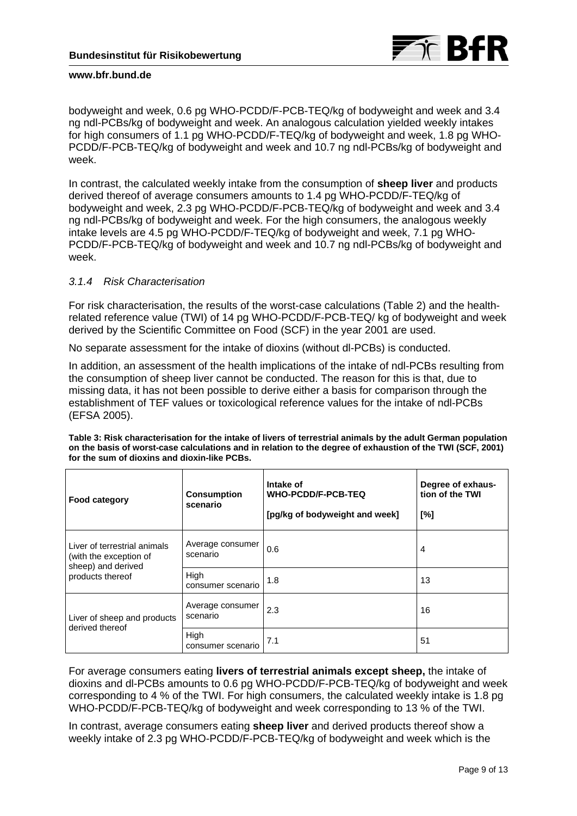

bodyweight and week, 0.6 pg WHO-PCDD/F-PCB-TEQ/kg of bodyweight and week and 3.4 ng ndl-PCBs/kg of bodyweight and week. An analogous calculation yielded weekly intakes for high consumers of 1.1 pg WHO-PCDD/F-TEQ/kg of bodyweight and week, 1.8 pg WHO-PCDD/F-PCB-TEQ/kg of bodyweight and week and 10.7 ng ndl-PCBs/kg of bodyweight and week.

In contrast, the calculated weekly intake from the consumption of **sheep liver** and products derived thereof of average consumers amounts to 1.4 pg WHO-PCDD/F-TEQ/kg of bodyweight and week, 2.3 pg WHO-PCDD/F-PCB-TEQ/kg of bodyweight and week and 3.4 ng ndl-PCBs/kg of bodyweight and week. For the high consumers, the analogous weekly intake levels are 4.5 pg WHO-PCDD/F-TEQ/kg of bodyweight and week, 7.1 pg WHO-PCDD/F-PCB-TEQ/kg of bodyweight and week and 10.7 ng ndl-PCBs/kg of bodyweight and week.

# *3.1.4 Risk Characterisation*

For risk characterisation, the results of the worst-case calculations (Table 2) and the healthrelated reference value (TWI) of 14 pg WHO-PCDD/F-PCB-TEQ/ kg of bodyweight and week derived by the Scientific Committee on Food (SCF) in the year 2001 are used.

No separate assessment for the intake of dioxins (without dl-PCBs) is conducted.

In addition, an assessment of the health implications of the intake of ndl-PCBs resulting from the consumption of sheep liver cannot be conducted. The reason for this is that, due to missing data, it has not been possible to derive either a basis for comparison through the establishment of TEF values or toxicological reference values for the intake of ndl-PCBs (EFSA 2005).

| <b>Food category</b>                                                         | <b>Consumption</b><br>scenario | Intake of<br><b>WHO-PCDD/F-PCB-TEQ</b><br>[pg/kg of bodyweight and week] | Degree of exhaus-<br>tion of the TWI<br>$N^{\circ}$ |
|------------------------------------------------------------------------------|--------------------------------|--------------------------------------------------------------------------|-----------------------------------------------------|
| Liver of terrestrial animals<br>(with the exception of<br>sheep) and derived | Average consumer<br>scenario   | 0.6                                                                      | 4                                                   |
| products thereof                                                             | High<br>consumer scenario      | 1.8                                                                      | 13                                                  |
| Liver of sheep and products<br>derived thereof                               | Average consumer<br>scenario   | 2.3                                                                      | 16                                                  |
|                                                                              | High<br>consumer scenario      | 7.1                                                                      | 51                                                  |

**Table 3: Risk characterisation for the intake of livers of terrestrial animals by the adult German population on the basis of worst-case calculations and in relation to the degree of exhaustion of the TWI (SCF, 2001) for the sum of dioxins and dioxin-like PCBs.** 

For average consumers eating **livers of terrestrial animals except sheep,** the intake of dioxins and dl-PCBs amounts to 0.6 pg WHO-PCDD/F-PCB-TEQ/kg of bodyweight and week corresponding to 4 % of the TWI. For high consumers, the calculated weekly intake is 1.8 pg WHO-PCDD/F-PCB-TEQ/kg of bodyweight and week corresponding to 13 % of the TWI.

In contrast, average consumers eating **sheep liver** and derived products thereof show a weekly intake of 2.3 pg WHO-PCDD/F-PCB-TEQ/kg of bodyweight and week which is the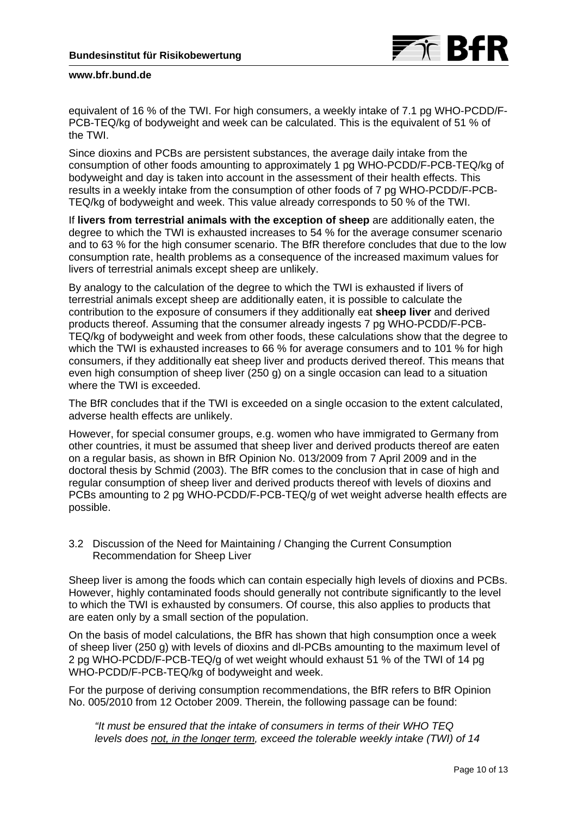

equivalent of 16 % of the TWI. For high consumers, a weekly intake of 7.1 pg WHO-PCDD/F-PCB-TEQ/kg of bodyweight and week can be calculated. This is the equivalent of 51 % of the TWI.

Since dioxins and PCBs are persistent substances, the average daily intake from the consumption of other foods amounting to approximately 1 pg WHO-PCDD/F-PCB-TEQ/kg of bodyweight and day is taken into account in the assessment of their health effects. This results in a weekly intake from the consumption of other foods of 7 pg WHO-PCDD/F-PCB-TEQ/kg of bodyweight and week. This value already corresponds to 50 % of the TWI.

If **livers from terrestrial animals with the exception of sheep** are additionally eaten, the degree to which the TWI is exhausted increases to 54 % for the average consumer scenario and to 63 % for the high consumer scenario. The BfR therefore concludes that due to the low consumption rate, health problems as a consequence of the increased maximum values for livers of terrestrial animals except sheep are unlikely.

By analogy to the calculation of the degree to which the TWI is exhausted if livers of terrestrial animals except sheep are additionally eaten, it is possible to calculate the contribution to the exposure of consumers if they additionally eat **sheep liver** and derived products thereof. Assuming that the consumer already ingests 7 pg WHO-PCDD/F-PCB-TEQ/kg of bodyweight and week from other foods, these calculations show that the degree to which the TWI is exhausted increases to 66 % for average consumers and to 101 % for high consumers, if they additionally eat sheep liver and products derived thereof. This means that even high consumption of sheep liver (250 g) on a single occasion can lead to a situation where the TWI is exceeded.

The BfR concludes that if the TWI is exceeded on a single occasion to the extent calculated, adverse health effects are unlikely.

However, for special consumer groups, e.g. women who have immigrated to Germany from other countries, it must be assumed that sheep liver and derived products thereof are eaten on a regular basis, as shown in BfR Opinion No. 013/2009 from 7 April 2009 and in the doctoral thesis by Schmid (2003). The BfR comes to the conclusion that in case of high and regular consumption of sheep liver and derived products thereof with levels of dioxins and PCBs amounting to 2 pg WHO-PCDD/F-PCB-TEQ/g of wet weight adverse health effects are possible.

3.2 Discussion of the Need for Maintaining / Changing the Current Consumption Recommendation for Sheep Liver

Sheep liver is among the foods which can contain especially high levels of dioxins and PCBs. However, highly contaminated foods should generally not contribute significantly to the level to which the TWI is exhausted by consumers. Of course, this also applies to products that are eaten only by a small section of the population.

On the basis of model calculations, the BfR has shown that high consumption once a week of sheep liver (250 g) with levels of dioxins and dl-PCBs amounting to the maximum level of 2 pg WHO-PCDD/F-PCB-TEQ/g of wet weight whould exhaust 51 % of the TWI of 14 pg WHO-PCDD/F-PCB-TEQ/kg of bodyweight and week.

For the purpose of deriving consumption recommendations, the BfR refers to BfR Opinion No. 005/2010 from 12 October 2009. Therein, the following passage can be found:

*"It must be ensured that the intake of consumers in terms of their WHO TEQ levels does not, in the longer term, exceed the tolerable weekly intake (TWI) of 14*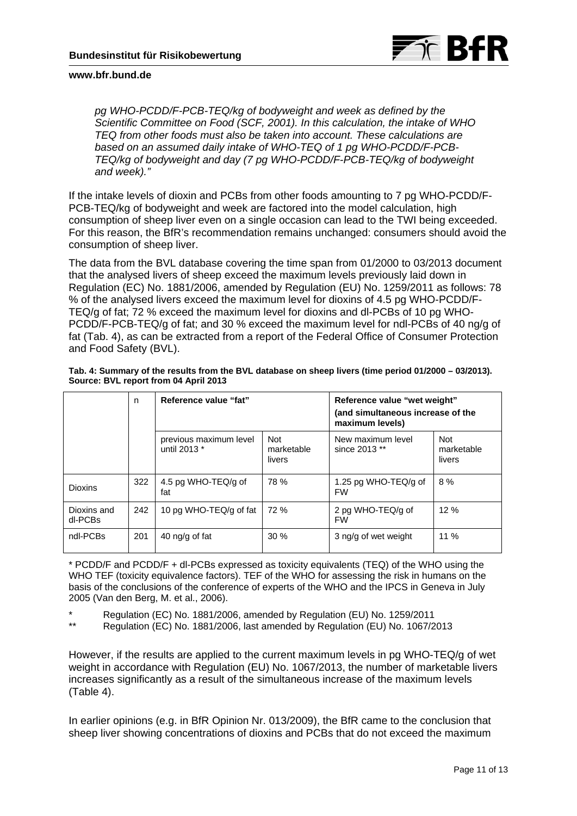

*pg WHO-PCDD/F-PCB-TEQ/kg of bodyweight and week as defined by the Scientific Committee on Food (SCF, 2001). In this calculation, the intake of WHO TEQ from other foods must also be taken into account. These calculations are based on an assumed daily intake of WHO-TEQ of 1 pg WHO-PCDD/F-PCB-TEQ/kg of bodyweight and day (7 pg WHO-PCDD/F-PCB-TEQ/kg of bodyweight and week)."* 

If the intake levels of dioxin and PCBs from other foods amounting to 7 pg WHO-PCDD/F-PCB-TEQ/kg of bodyweight and week are factored into the model calculation, high consumption of sheep liver even on a single occasion can lead to the TWI being exceeded. For this reason, the BfR's recommendation remains unchanged: consumers should avoid the consumption of sheep liver.

The data from the BVL database covering the time span from 01/2000 to 03/2013 document that the analysed livers of sheep exceed the maximum levels previously laid down in Regulation (EC) No. 1881/2006, amended by Regulation (EU) No. 1259/2011 as follows: 78 % of the analysed livers exceed the maximum level for dioxins of 4.5 pg WHO-PCDD/F-TEQ/g of fat; 72 % exceed the maximum level for dioxins and dl-PCBs of 10 pg WHO-PCDD/F-PCB-TEQ/g of fat; and 30 % exceed the maximum level for ndl-PCBs of 40 ng/g of fat (Tab. 4), as can be extracted from a report of the Federal Office of Consumer Protection and Food Safety (BVL).

|                        | n   | Reference value "fat"                  |                                    | Reference value "wet weight"<br>(and simultaneous increase of the<br>maximum levels) |                                    |  |
|------------------------|-----|----------------------------------------|------------------------------------|--------------------------------------------------------------------------------------|------------------------------------|--|
|                        |     | previous maximum level<br>until 2013 * | <b>Not</b><br>marketable<br>livers | New maximum level<br>since 2013 **                                                   | <b>Not</b><br>marketable<br>livers |  |
| <b>Dioxins</b>         | 322 | 4.5 pg WHO-TEQ/g of<br>fat             | 78 %                               | 1.25 pg WHO-TEQ/g of<br><b>FW</b>                                                    | 8%                                 |  |
| Dioxins and<br>dl-PCBs | 242 | 10 pg WHO-TEQ/g of fat                 | 72%                                | 2 pg WHO-TEQ/g of<br><b>FW</b>                                                       | 12%                                |  |
| ndl-PCBs               | 201 | 40 ng/g of fat                         | 30%                                | 3 ng/g of wet weight                                                                 | $11\%$                             |  |

**Tab. 4: Summary of the results from the BVL database on sheep livers (time period 01/2000 – 03/2013). Source: BVL report from 04 April 2013** 

\* PCDD/F and PCDD/F + dl-PCBs expressed as toxicity equivalents (TEQ) of the WHO using the WHO TEF (toxicity equivalence factors). TEF of the WHO for assessing the risk in humans on the basis of the conclusions of the conference of experts of the WHO and the IPCS in Geneva in July 2005 (Van den Berg, M. et al., 2006).

\* Regulation (EC) No. 1881/2006, amended by Regulation (EU) No. 1259/2011

\*\* Regulation (EC) No. 1881/2006, last amended by Regulation (EU) No. 1067/2013

However, if the results are applied to the current maximum levels in pg WHO-TEQ/g of wet weight in accordance with Regulation (EU) No. 1067/2013, the number of marketable livers increases significantly as a result of the simultaneous increase of the maximum levels (Table 4).

In earlier opinions (e.g. in BfR Opinion Nr. 013/2009), the BfR came to the conclusion that sheep liver showing concentrations of dioxins and PCBs that do not exceed the maximum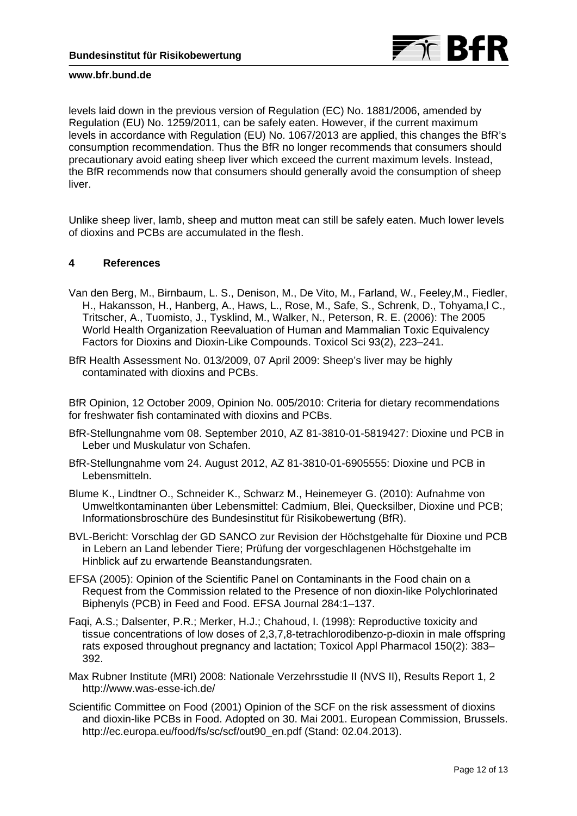

levels laid down in the previous version of Regulation (EC) No. 1881/2006, amended by Regulation (EU) No. 1259/2011, can be safely eaten. However, if the current maximum levels in accordance with Regulation (EU) No. 1067/2013 are applied, this changes the BfR's consumption recommendation. Thus the BfR no longer recommends that consumers should precautionary avoid eating sheep liver which exceed the current maximum levels. Instead, the BfR recommends now that consumers should generally avoid the consumption of sheep liver.

Unlike sheep liver, lamb, sheep and mutton meat can still be safely eaten. Much lower levels of dioxins and PCBs are accumulated in the flesh.

## **4 References**

- Van den Berg, M., Birnbaum, L. S., Denison, M., De Vito, M., Farland, W., Feeley,M., Fiedler, H., Hakansson, H., Hanberg, A., Haws, L., Rose, M., Safe, S., Schrenk, D., Tohyama,l C., Tritscher, A., Tuomisto, J., Tysklind, M., Walker, N., Peterson, R. E. (2006): The 2005 World Health Organization Reevaluation of Human and Mammalian Toxic Equivalency Factors for Dioxins and Dioxin-Like Compounds. Toxicol Sci 93(2), 223–241.
- BfR Health Assessment No. 013/2009, 07 April 2009: Sheep's liver may be highly contaminated with dioxins and PCBs.

BfR Opinion, 12 October 2009, Opinion No. 005/2010: Criteria for dietary recommendations for freshwater fish contaminated with dioxins and PCBs.

- BfR-Stellungnahme vom 08. September 2010, AZ 81-3810-01-5819427: Dioxine und PCB in Leber und Muskulatur von Schafen.
- BfR-Stellungnahme vom 24. August 2012, AZ 81-3810-01-6905555: Dioxine und PCB in Lebensmitteln.
- Blume K., Lindtner O., Schneider K., Schwarz M., Heinemeyer G. (2010): Aufnahme von Umweltkontaminanten über Lebensmittel: Cadmium, Blei, Quecksilber, Dioxine und PCB; Informationsbroschüre des Bundesinstitut für Risikobewertung (BfR).
- BVL-Bericht: Vorschlag der GD SANCO zur Revision der Höchstgehalte für Dioxine und PCB in Lebern an Land lebender Tiere; Prüfung der vorgeschlagenen Höchstgehalte im Hinblick auf zu erwartende Beanstandungsraten.
- EFSA (2005): Opinion of the Scientific Panel on Contaminants in the Food chain on a Request from the Commission related to the Presence of non dioxin-like Polychlorinated Biphenyls (PCB) in Feed and Food. EFSA Journal 284:1–137.
- Faqi, A.S.; Dalsenter, P.R.; Merker, H.J.; Chahoud, I. (1998): Reproductive toxicity and tissue concentrations of low doses of 2,3,7,8-tetrachlorodibenzo-p-dioxin in male offspring rats exposed throughout pregnancy and lactation; Toxicol Appl Pharmacol 150(2): 383– 392.
- Max Rubner Institute (MRI) 2008: Nationale Verzehrsstudie II (NVS II), Results Report 1, 2 <http://www.was-esse-ich.de/>
- Scientific Committee on Food (2001) Opinion of the SCF on the risk assessment of dioxins and dioxin-like PCBs in Food. Adopted on 30. Mai 2001. European Commission, Brussels. http://ec.europa.eu/food/fs/sc/scf/out90\_en.pdf (Stand: 02.04.2013).